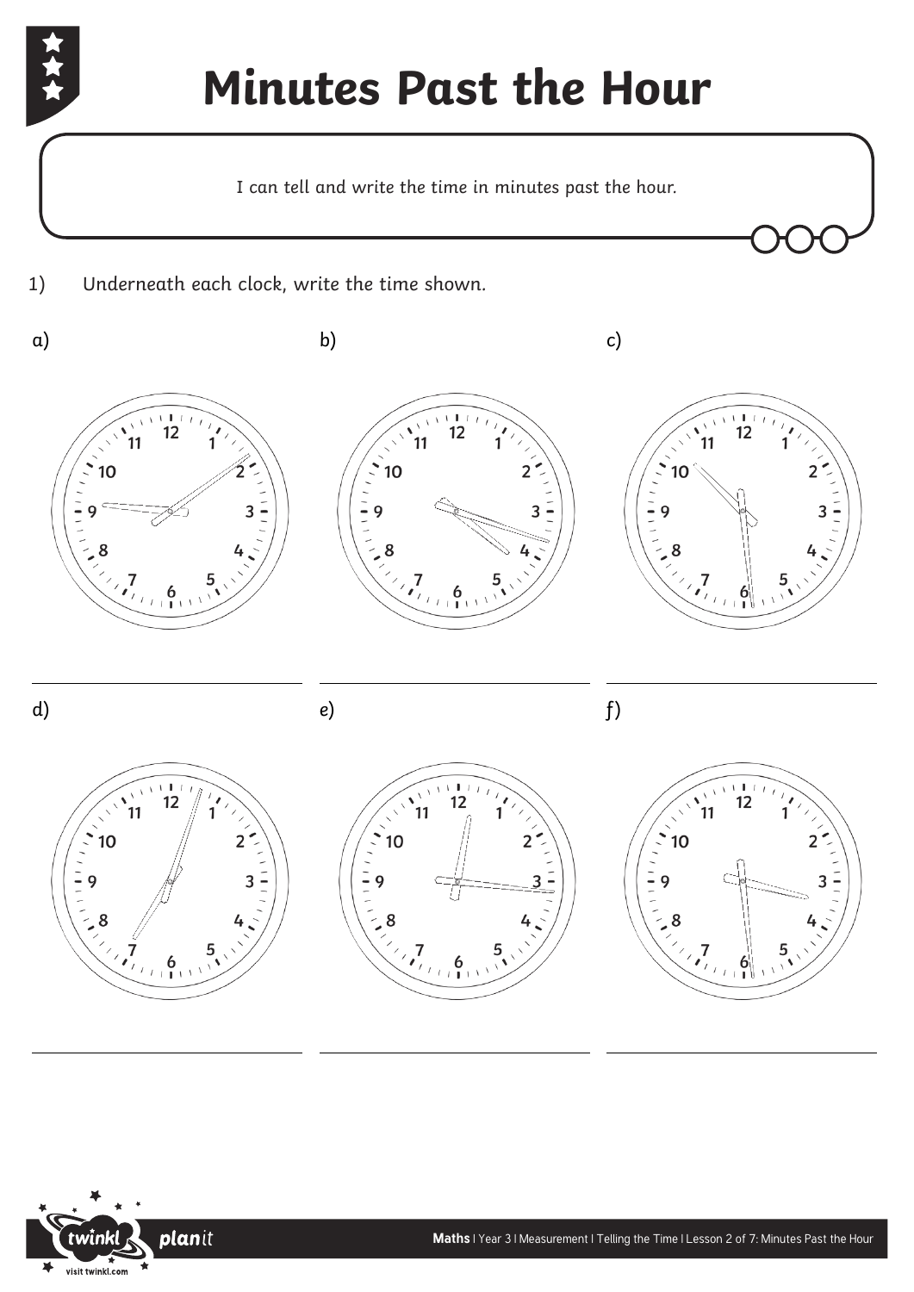

## **Minutes Past the Hour**

I can tell and write the time in minutes past the hour.

1) Underneath each clock, write the time shown.



 $\overline{a}$ 



 $\overline{a}$ 

 $\overline{a}$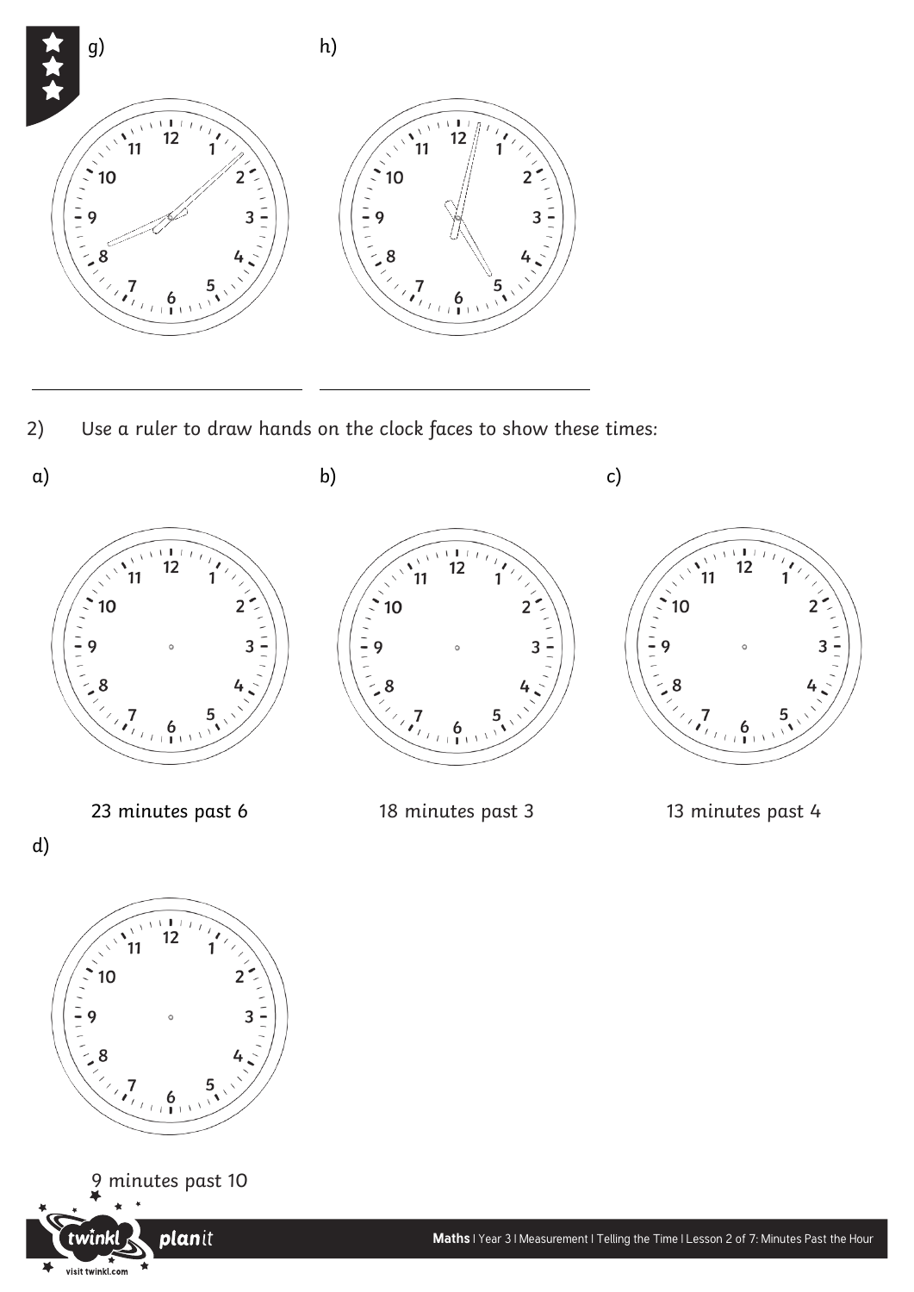

2) Use a ruler to draw hands on the clock faces to show these times:

 $\overline{a}$ 





planit

visit twinkl.com

¥

 $\overline{a}$ 

d)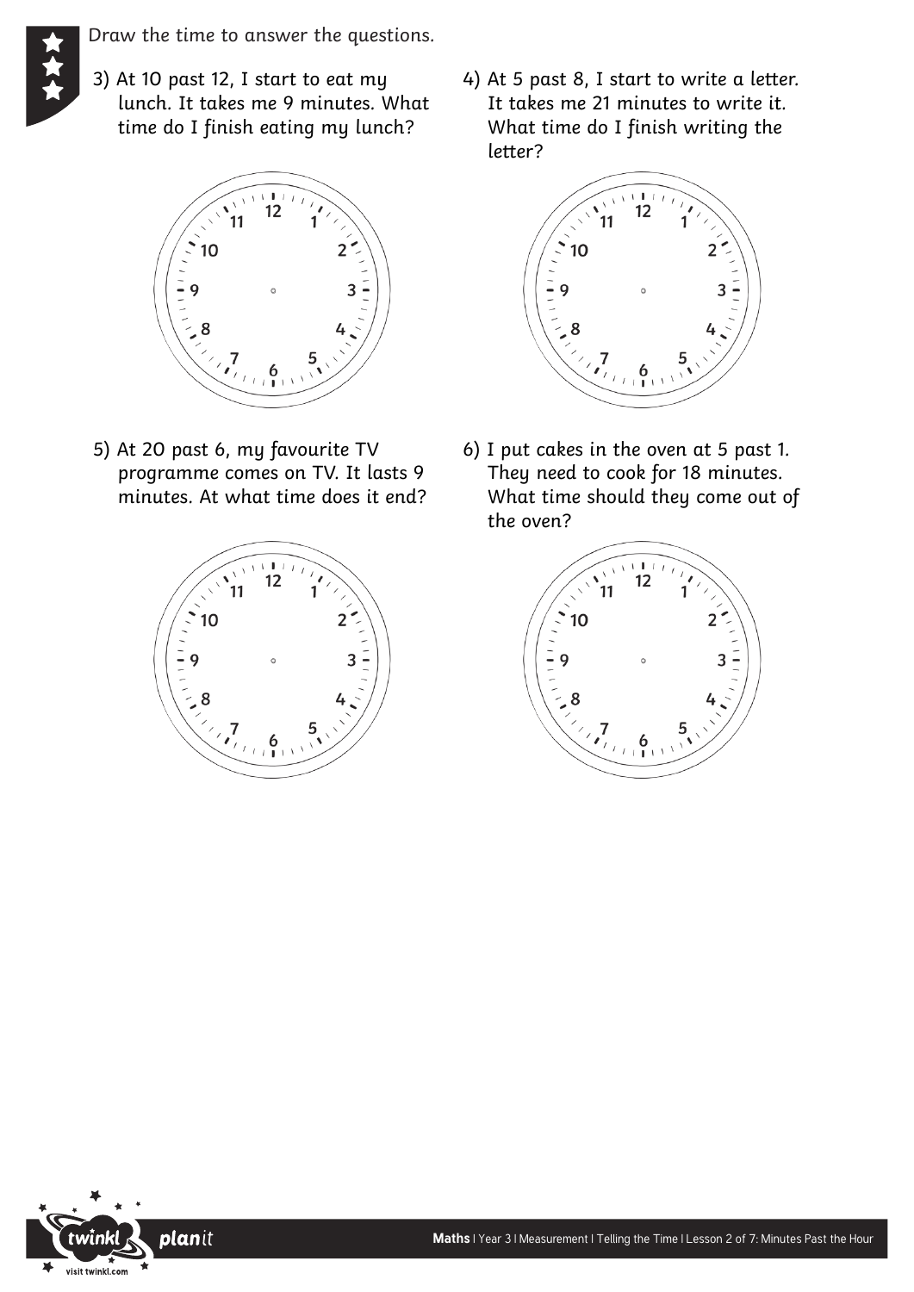Draw the time to answer the questions.

3) At 10 past 12, I start to eat my lunch. It takes me 9 minutes. What time do I finish eating my lunch?



5) At 20 past 6, my favourite TV programme comes on TV. It lasts 9 minutes. At what time does it end?



4) At 5 past 8, I start to write a letter. It takes me 21 minutes to write it. What time do I finish writing the letter?



6) I put cakes in the oven at 5 past 1. They need to cook for 18 minutes. What time should they come out of the oven?



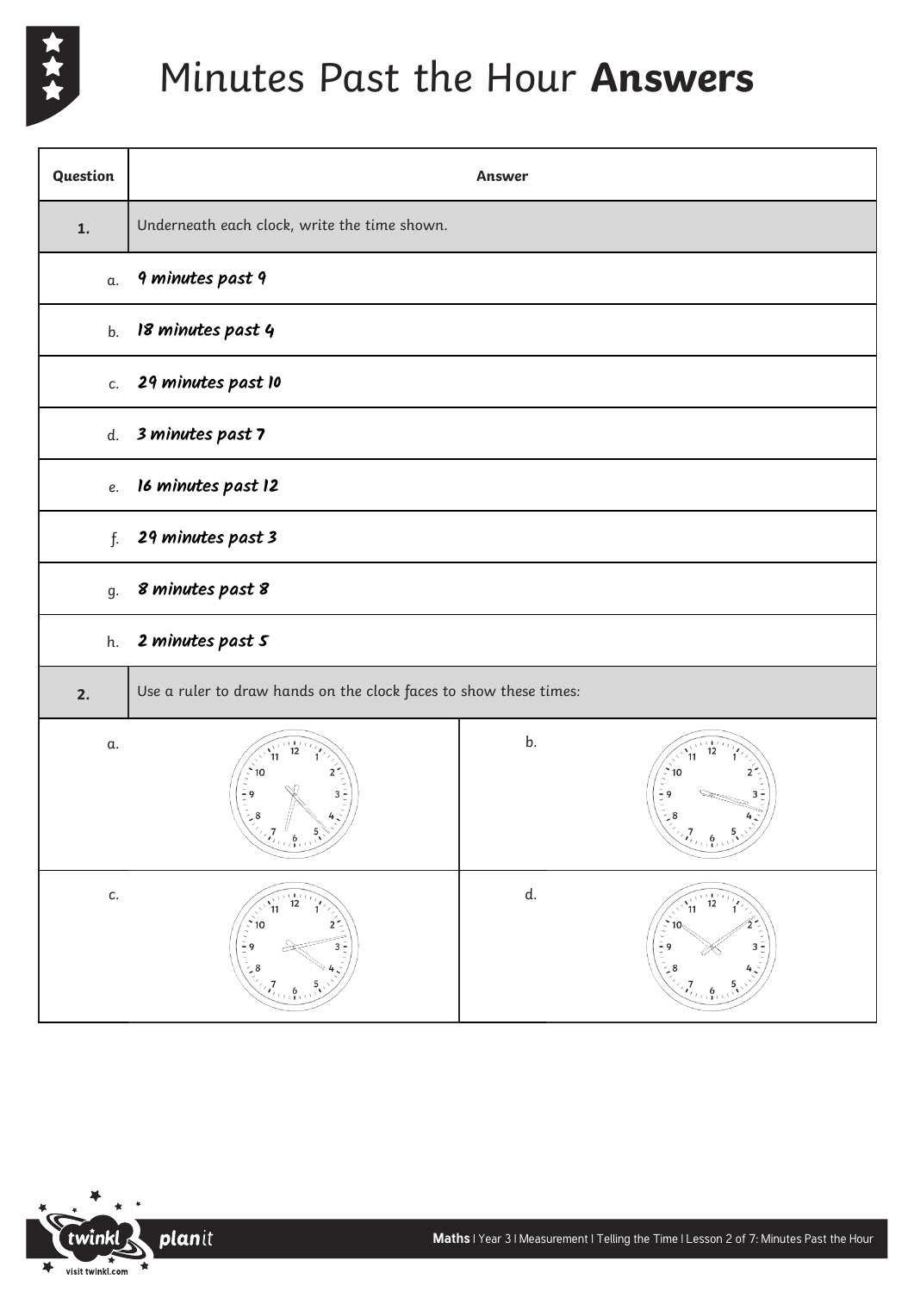

## Minutes Past the Hour **Answers**

| Question | Answer                                                            |    |                                                                                                                 |
|----------|-------------------------------------------------------------------|----|-----------------------------------------------------------------------------------------------------------------|
| 1.       | Underneath each clock, write the time shown.                      |    |                                                                                                                 |
| α.       | 9 minutes past 9                                                  |    |                                                                                                                 |
| b.       | 18 minutes past 4                                                 |    |                                                                                                                 |
| c.       | 29 minutes past 10                                                |    |                                                                                                                 |
| d.       | 3 minutes past 7                                                  |    |                                                                                                                 |
| e.       | 16 minutes past 12                                                |    |                                                                                                                 |
| f.       | 29 minutes past 3                                                 |    |                                                                                                                 |
| g.       | 8 minutes past 8                                                  |    |                                                                                                                 |
| h.       | 2 minutes past 5                                                  |    |                                                                                                                 |
| 2.       | Use a ruler to draw hands on the clock faces to show these times: |    |                                                                                                                 |
| α.       | 10<br>$\frac{1}{2}$ 9<br>$3\frac{1}{2}$                           | b. | $\binom{1}{2}$ 10<br>$-9$<br>$\frac{6}{1111111111111}$                                                          |
| c.       | 12<br>$2^{\frac{1}{2}}$<br>10<br>$\frac{1}{2}$<br>$\frac{1}{3}$   | d. | 12<br>11<br>$\frac{1}{2}$<br>$\frac{1}{2}$<br>$\frac{1}{2}$<br>$\frac{1}{2}$<br>$\frac{1}{2}$<br>$3\frac{2}{3}$ |